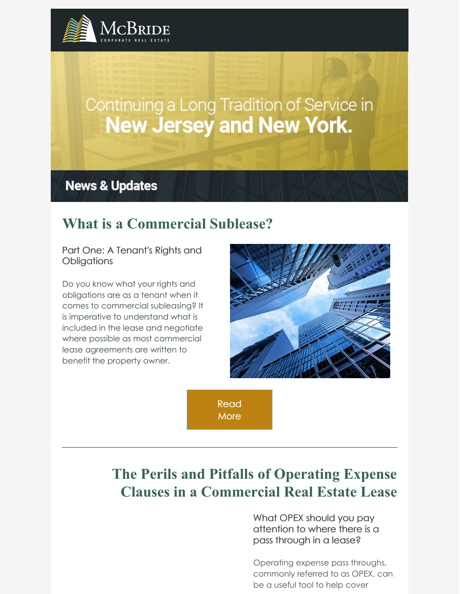

# Continuing a Long Tradition of Service in **New Jersey and New York.**

**News & Updates** 

# **What is a [Commercial](https://www.mcbridecorpre.com/what-is-a-commercial-sublease-part-one-a-tenants-rights-and-obligations/) Sublease?**

Part One: A Tenant's Rights and **Obligations** 

Do you know what your rights and obligations are as a tenant when it comes to commercial subleasing? It is imperative to understand what is included in the lease and negotiate where possible as most commercial lease agreements are written to benefit the property owner.



[Read](https://www.mcbridecorpre.com/why-landlords-want-to-hang-onto-their-tenants/) **More** 

# **The Perils and Pitfalls of Operating Expense Clauses in a [Commercial](https://www.mcbridecorpre.com/the-perils-and-pitfalls-of-operating-expense-clauses-in-a-commercial-real-estate-lease/) Real Estate Lease**

What OPEX should you pay attention to where there is a pass through in a lease?

Operating expense pass throughs, commonly referred to as OPEX, can be a useful tool to help cover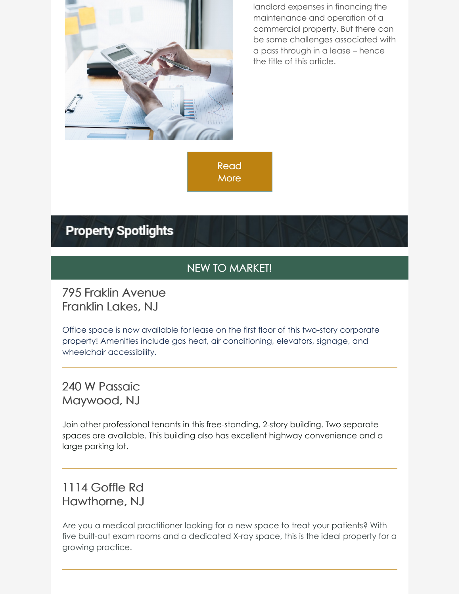

landlord expenses in financing the maintenance and operation of a commercial property. But there can be some challenges associated with a pass through in a lease – hence the title of this article.

[Read](https://www.mcbridecorpre.com/the-perils-and-pitfalls-of-operating-expense-clauses-in-a-commercial-real-estate-lease/) **More** 

# **Property Spotlights**

#### NEW TO MARKET!

#### 795 Fraklin Avenue Franklin Lakes, NJ

Office space is now available for lease on the first floor of this two-story corporate property! Amenities include gas heat, air conditioning, elevators, signage, and wheelchair accessibility.

## 240 W Passaic Maywood, NJ

Join other professional tenants in this free-standing, 2-story building. Two separate spaces are available. This building also has excellent highway convenience and a large parking lot.

## 1114 Goffle Rd Hawthorne, NJ

Are you a medical practitioner looking for a new space to treat your patients? With five built-out exam rooms and a dedicated X-ray space, this is the ideal property for a growing practice.